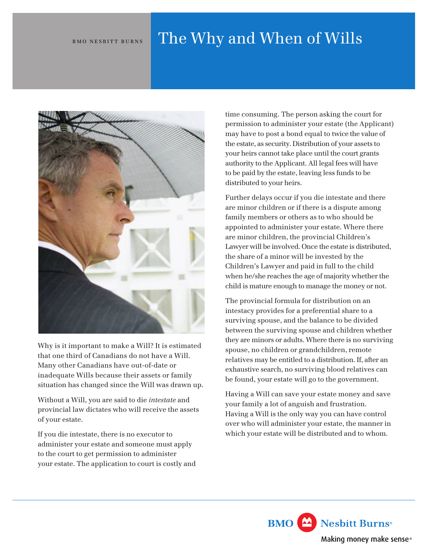## BMO NESBITT BURNS The Why and When of Wills



Why is it important to make a Will? It is estimated that one third of Canadians do not have a Will. Many other Canadians have out-of-date or inadequate Wills because their assets or family situation has changed since the Will was drawn up.

Without a Will, you are said to die *intestate* and provincial law dictates who will receive the assets of your estate.

If you die intestate, there is no executor to administer your estate and someone must apply to the court to get permission to administer your estate. The application to court is costly and time consuming. The person asking the court for permission to administer your estate (the Applicant) may have to post a bond equal to twice the value of the estate, as security. Distribution of your assets to your heirs cannot take place until the court grants authority to the Applicant. All legal fees will have to be paid by the estate, leaving less funds to be distributed to your heirs.

Further delays occur if you die intestate and there are minor children or if there is a dispute among family members or others as to who should be appointed to administer your estate. Where there are minor children, the provincial Children's Lawyer will be involved. Once the estate is distributed, the share of a minor will be invested by the Children's Lawyer and paid in full to the child when he/she reaches the age of majority whether the child is mature enough to manage the money or not.

The provincial formula for distribution on an intestacy provides for a preferential share to a surviving spouse, and the balance to be divided between the surviving spouse and children whether they are minors or adults. Where there is no surviving spouse, no children or grandchildren, remote relatives may be entitled to a distribution. If, after an exhaustive search, no surviving blood relatives can be found, your estate will go to the government.

Having a Will can save your estate money and save your family a lot of anguish and frustration. Having a Will is the only way you can have control over who will administer your estate, the manner in which your estate will be distributed and to whom.

> **BMO** Nesbitt Burns<sup>®</sup> Making money make sense®